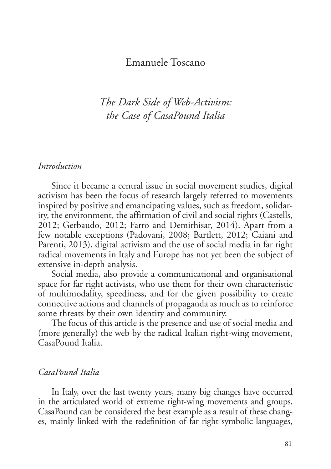## Emanuele Toscano

# *The Dark Side of Web-Activism: the Case of CasaPound Italia*

#### *Introduction*

Since it became a central issue in social movement studies, digital activism has been the focus of research largely referred to movements inspired by positive and emancipating values, such as freedom, solidarity, the environment, the affirmation of civil and social rights (Castells, 2012; Gerbaudo, 2012; Farro and Demirhisar, 2014). Apart from a few notable exceptions (Padovani, 2008; Bartlett, 2012; Caiani and Parenti, 2013), digital activism and the use of social media in far right radical movements in Italy and Europe has not yet been the subject of extensive in-depth analysis.

Social media, also provide a communicational and organisational space for far right activists, who use them for their own characteristic of multimodality, speediness, and for the given possibility to create connective actions and channels of propaganda as much as to reinforce some threats by their own identity and community.

The focus of this article is the presence and use of social media and (more generally) the web by the radical Italian right-wing movement, CasaPound Italia.

## *CasaPound Italia*

In Italy, over the last twenty years, many big changes have occurred in the articulated world of extreme right-wing movements and groups. CasaPound can be considered the best example as a result of these changes, mainly linked with the redefinition of far right symbolic languages,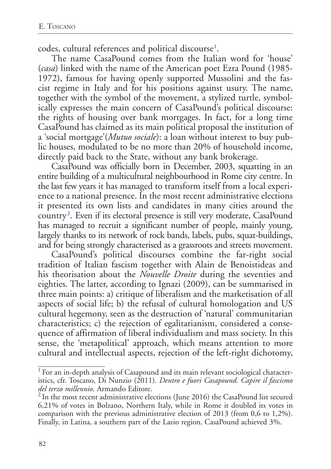<span id="page-1-2"></span>codes, cultural references and political discourse<sup>[1](#page-1-0)</sup>.

The name CasaPound comes from the Italian word for 'house' (*casa*) linked with the name of the American poet Ezra Pound (1985- 1972), famous for having openly supported Mussolini and the fascist regime in Italy and for his positions against usury. The name, together with the symbol of the movement, a stylized turtle, symbolically expresses the main concern of CasaPound's political discourse: the rights of housing over bank mortgages. In fact, for a long time CasaPound has claimed as its main political proposal the institution of a 'social mortgage'(*Mutuo sociale*): a loan without interest to buy public houses, modulated to be no more than 20% of household income, directly paid back to the State, without any bank brokerage.

CasaPound was officially born in December, 2003, squatting in an entire building of a multicultural neighbourhood in Rome city centre. In the last few years it has managed to transform itself from a local experience to a national presence. In the most recent administrative elections it presented its own lists and candidates in many cities around the country<sup>[2](#page-1-1)</sup>. Even if its electoral presence is still very moderate, CasaPound has managed to recruit a significant number of people, mainly young, largely thanks to its network of rock bands, labels, pubs, squat-buildings, and for being strongly characterised as a grassroots and streets movement.

<span id="page-1-3"></span>CasaPound's political discourses combine the far-right social tradition of Italian fascism together with Alain de Benoistideas and his theorisation about the *Nouvelle Droite* during the seventies and eighties. The latter, according to Ignazi (2009), can be summarised in three main points: a) critique of liberalism and the marketisation of all aspects of social life; b) the refusal of cultural homologation and US cultural hegemony, seen as the destruction of 'natural' communitarian characteristics; c) the rejection of egalitarianism, considered a consequence of affirmation of liberal individualism and mass society. In this sense, the 'metapolitical' approach, which means attention to more cultural and intellectual aspects, rejection of the left-right dichotomy,

<span id="page-1-0"></span><sup>&</sup>lt;sup>[1](#page-1-2)</sup> For an in-depth analysis of Casapound and its main relevant sociological characteristics, cfr. Toscano, Di Nunzio (2011). *Dentro e fuori Casapound. Capire il fascismo del terzo millennio*. Armando Editore.<br><sup>[2](#page-1-3)</sup> In the most recent administrative elections (June 2016) the CasaPound list secured

<span id="page-1-1"></span><sup>6,21%</sup> of votes in Bolzano, Northern Italy, while in Rome it doubled its votes in comparison with the previous administrative election of 2013 (from 0,6 to 1,2%). Finally, in Latina, a southern part of the Lazio region, CasaPound achieved 3%.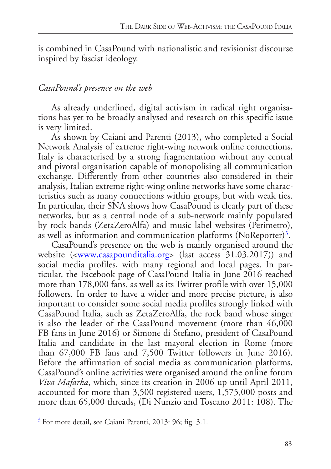is combined in CasaPound with nationalistic and revisionist discourse inspired by fascist ideology.

## *CasaPound's presence on the web*

As already underlined, digital activism in radical right organisations has yet to be broadly analysed and research on this specific issue is very limited.

As shown by Caiani and Parenti (2013), who completed a Social Network Analysis of extreme right-wing network online connections, Italy is characterised by a strong fragmentation without any central and pivotal organisation capable of monopolising all communication exchange. Differently from other countries also considered in their analysis, Italian extreme right-wing online networks have some characteristics such as many connections within groups, but with weak ties. In particular, their SNA shows how CasaPound is clearly part of these networks, but as a central node of a sub-network mainly populated by rock bands (ZetaZeroAlfa) and music label websites (Perimetro), as well as information and communication platforms (NoReporter) $^3$  $^3$ .

<span id="page-2-1"></span>CasaPound's presence on the web is mainly organised around the website ([<www.casapounditalia.org>](http://www.casapounditalia.org) (last access 31.03.2017)) and social media profiles, with many regional and local pages. In particular, the Facebook page of CasaPound Italia in June 2016 reached more than 178,000 fans, as well as its Twitter profile with over 15,000 followers. In order to have a wider and more precise picture, is also important to consider some social media profiles strongly linked with CasaPound Italia, such as ZetaZeroAlfa, the rock band whose singer is also the leader of the CasaPound movement (more than 46,000 FB fans in June 2016) or Simone di Stefano, president of CasaPound Italia and candidate in the last mayoral election in Rome (more than 67,000 FB fans and 7,500 Twitter followers in June 2016). Before the affirmation of social media as communication platforms, CasaPound's online activities were organised around the online forum *Viva Mafarka*, which, since its creation in 2006 up until April 2011, accounted for more than 3,500 registered users, 1,575,000 posts and more than 65,000 threads, (Di Nunzio and Toscano 2011: 108). The

<span id="page-2-0"></span>[<sup>3</sup>](#page-2-1) For more detail, see Caiani Parenti, 2013: 96; fig. 3.1.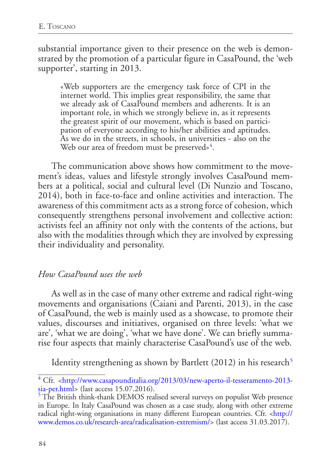substantial importance given to their presence on the web is demonstrated by the promotion of a particular figure in CasaPound, the 'web supporter', starting in 2013.

«Web supporters are the emergency task force of CPI in the internet world. This implies great responsibility, the same that we already ask of CasaPound members and adherents. It is an important role, in which we strongly believe in, as it represents the greatest spirit of our movement, which is based on participation of everyone according to his/her abilities and aptitudes. As we do in the streets, in schools, in universities - also on the Web our area of freedom must be preserved»<sup>[4](#page-3-0)</sup>.

<span id="page-3-2"></span>The communication above shows how commitment to the movement's ideas, values and lifestyle strongly involves CasaPound members at a political, social and cultural level (Di Nunzio and Toscano, 2014), both in face-to-face and online activities and interaction. The awareness of this commitment acts as a strong force of cohesion, which consequently strengthens personal involvement and collective action: activists feel an affinity not only with the contents of the actions, but also with the modalities through which they are involved by expressing their individuality and personality.

### *How CasaPound uses the web*

As well as in the case of many other extreme and radical right-wing movements and organisations (Caiani and Parenti, 2013), in the case of CasaPound, the web is mainly used as a showcase, to promote their values, discourses and initiatives, organised on three levels: 'what we are', 'what we are doing', 'what we have done'. We can briefly summarise four aspects that mainly characterise CasaPound's use of the web.

<span id="page-3-3"></span>Identity strengthening as shown by Bartlett  $(2012)$  in his research<sup>[5](#page-3-1)</sup>

<span id="page-3-0"></span>[<sup>4</sup>](#page-3-2) Cfr. <[http://www.casapounditalia.org/2013/03/new-aperto-il-tesseramento-2013](http://www.casapounditalia.org/2013/03/new-aperto-il-tesseramento-2013-sia-per.html) [sia-per.html](http://www.casapounditalia.org/2013/03/new-aperto-il-tesseramento-2013-sia-per.html)> (last access 15.07.2016).

<span id="page-3-1"></span><sup>&</sup>lt;sup>[5](#page-3-3)</sup> The British think-thank DEMOS realised several surveys on populist Web presence in Europe. In Italy CasaPound was chosen as a case study, along with other extreme radical right-wing organisations in many different European countries. Cfr. <[http://](http://www.demos.co.uk/research-area/radicalisation-extremism/) [www.demos.co.uk/research-area/radicalisation-extremism/](http://www.demos.co.uk/research-area/radicalisation-extremism/)> (last access 31.03.2017).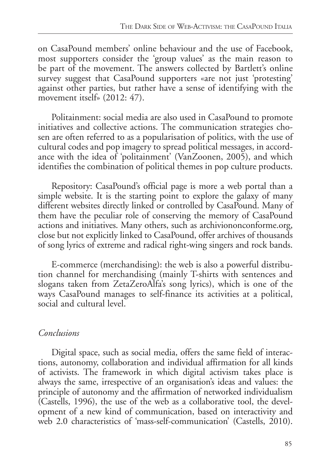on CasaPound members' online behaviour and the use of Facebook, most supporters consider the 'group values' as the main reason to be part of the movement. The answers collected by Bartlett's online survey suggest that CasaPound supporters «are not just 'protesting' against other parties, but rather have a sense of identifying with the movement itself» (2012: 47).

Politainment: social media are also used in CasaPound to promote initiatives and collective actions. The communication strategies chosen are often referred to as a popularisation of politics, with the use of cultural codes and pop imagery to spread political messages, in accordance with the idea of 'politainment' (VanZoonen, 2005), and which identifies the combination of political themes in pop culture products.

Repository: CasaPound's official page is more a web portal than a simple website. It is the starting point to explore the galaxy of many different websites directly linked or controlled by CasaPound. Many of them have the peculiar role of conserving the memory of CasaPound actions and initiatives. Many others, such as archiviononconforme.org, close but not explicitly linked to CasaPound, offer archives of thousands of song lyrics of extreme and radical right-wing singers and rock bands.

E-commerce (merchandising): the web is also a powerful distribution channel for merchandising (mainly T-shirts with sentences and slogans taken from ZetaZeroAlfa's song lyrics), which is one of the ways CasaPound manages to self-finance its activities at a political, social and cultural level.

# *Conclusions*

Digital space, such as social media, offers the same field of interactions, autonomy, collaboration and individual affirmation for all kinds of activists. The framework in which digital activism takes place is always the same, irrespective of an organisation's ideas and values: the principle of autonomy and the affirmation of networked individualism (Castells, 1996), the use of the web as a collaborative tool, the development of a new kind of communication, based on interactivity and web 2.0 characteristics of 'mass-self-communication' (Castells, 2010).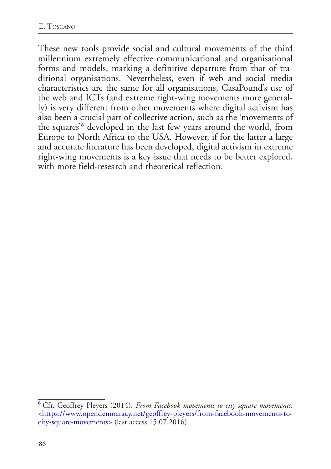<span id="page-5-1"></span>These new tools provide social and cultural movements of the third millennium extremely effective communicational and organisational forms and models, marking a definitive departure from that of traditional organisations. Nevertheless, even if web and social media characteristics are the same for all organisations, CasaPound's use of the web and ICTs (and extreme right-wing movements more generally) is very different from other movements where digital activism has also been a crucial part of collective action, such as the 'movements of the squares'[6](#page-5-0) developed in the last few years around the world, from Europe to North Africa to the USA. However, if for the latter a large and accurate literature has been developed, digital activism in extreme right-wing movements is a key issue that needs to be better explored, with more field-research and theoretical reflection.

<span id="page-5-0"></span>[<sup>6</sup>](#page-5-1) Cfr. Geoffrey Pleyers (2014). *From Facebook movements to city square movements*. [<https://www.opendemocracy.net/geoffrey-pleyers/from-facebook-movements-to](https://www.opendemocracy.net/geoffrey-pleyers/from-facebook-movements-to-city-square-movements)[city-square-movements](https://www.opendemocracy.net/geoffrey-pleyers/from-facebook-movements-to-city-square-movements)> (last access 15.07.2016).